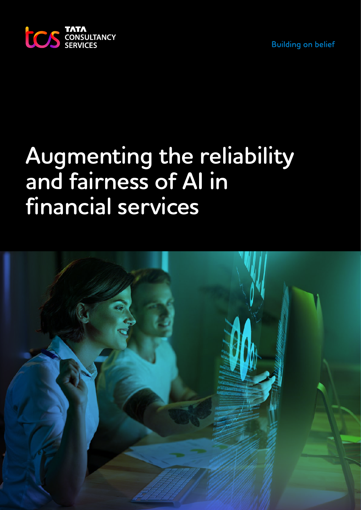**Building on belief** 



# **Augmenting the reliability and fairness of AI in financial services**

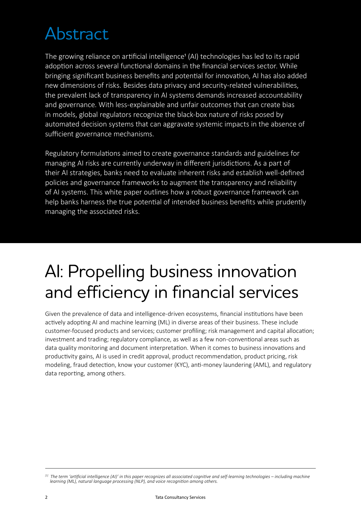### Abstract

The growing reliance on artificial intelligence<sup>1</sup> (AI) technologies has led to its rapid adoption across several functional domains in the financial services sector. While bringing significant business benefits and potential for innovation, AI has also added new dimensions of risks. Besides data privacy and security-related vulnerabilities, the prevalent lack of transparency in AI systems demands increased accountability and governance. With less-explainable and unfair outcomes that can create bias in models, global regulators recognize the black-box nature of risks posed by automated decision systems that can aggravate systemic impacts in the absence of sufficient governance mechanisms.

Regulatory formulations aimed to create governance standards and guidelines for managing AI risks are currently underway in different jurisdictions. As a part of their AI strategies, banks need to evaluate inherent risks and establish well-defined policies and governance frameworks to augment the transparency and reliability of AI systems. This white paper outlines how a robust governance framework can help banks harness the true potential of intended business benefits while prudently managing the associated risks.

#### AI: Propelling business innovation and efficiency in financial services

Given the prevalence of data and intelligence-driven ecosystems, financial institutions have been actively adopting AI and machine learning (ML) in diverse areas of their business. These include customer-focused products and services; customer profiling; risk management and capital allocation; investment and trading; regulatory compliance, as well as a few non-conventional areas such as data quality monitoring and document interpretation. When it comes to business innovations and productivity gains, AI is used in credit approval, product recommendation, product pricing, risk modeling, fraud detection, know your customer (KYC), anti-money laundering (AML), and regulatory data reporting, among others.

*<sup>[1]</sup> The term 'artificial intelligence (AI)' in this paper recognizes all associated cognitive and self-learning technologies – including machine learning (ML), natural language processing (NLP), and voice recognition among others.*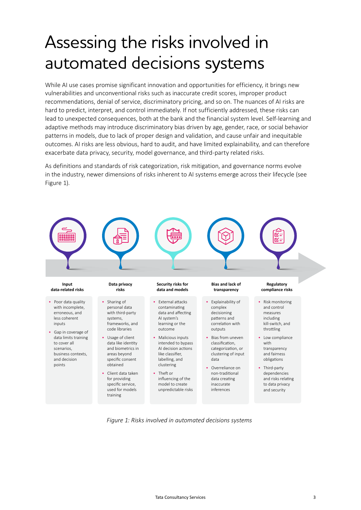#### Assessing the risks involved in automated decisions systems

While AI use cases promise significant innovation and opportunities for efficiency, it brings new vulnerabilities and unconventional risks such as inaccurate credit scores, improper product recommendations, denial of service, discriminatory pricing, and so on. The nuances of AI risks are hard to predict, interpret, and control immediately. If not sufficiently addressed, these risks can lead to unexpected consequences, both at the bank and the financial system level. Self-learning and adaptive methods may introduce discriminatory bias driven by age, gender, race, or social behavior patterns in models, due to lack of proper design and validation, and cause unfair and inequitable outcomes. AI risks are less obvious, hard to audit, and have limited explainability, and can therefore exacerbate data privacy, security, model governance, and third-party related risks.

As definitions and standards of risk categorization, risk mitigation, and governance norms evolve in the industry, newer dimensions of risks inherent to AI systems emerge across their lifecycle (see Figure 1).



*Figure 1: Risks involved in automated decisions systems*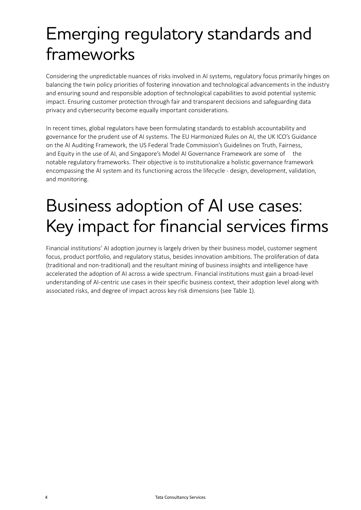### Emerging regulatory standards and frameworks

Considering the unpredictable nuances of risks involved in AI systems, regulatory focus primarily hinges on balancing the twin policy priorities of fostering innovation and technological advancements in the industry and ensuring sound and responsible adoption of technological capabilities to avoid potential systemic impact. Ensuring customer protection through fair and transparent decisions and safeguarding data privacy and cybersecurity become equally important considerations.

In recent times, global regulators have been formulating standards to establish accountability and governance for the prudent use of AI systems. The EU Harmonized Rules on AI, the UK ICO's Guidance on the AI Auditing Framework, the US Federal Trade Commission's Guidelines on Truth, Fairness, and Equity in the use of AI, and Singapore's Model AI Governance Framework are some of the notable regulatory frameworks. Their objective is to institutionalize a holistic governance framework encompassing the AI system and its functioning across the lifecycle - design, development, validation, and monitoring.

## Business adoption of AI use cases: Key impact for financial services firms

Financial institutions' AI adoption journey is largely driven by their business model, customer segment focus, product portfolio, and regulatory status, besides innovation ambitions. The proliferation of data (traditional and non-traditional) and the resultant mining of business insights and intelligence have accelerated the adoption of AI across a wide spectrum. Financial institutions must gain a broad-level understanding of AI-centric use cases in their specific business context, their adoption level along with associated risks, and degree of impact across key risk dimensions (see Table 1).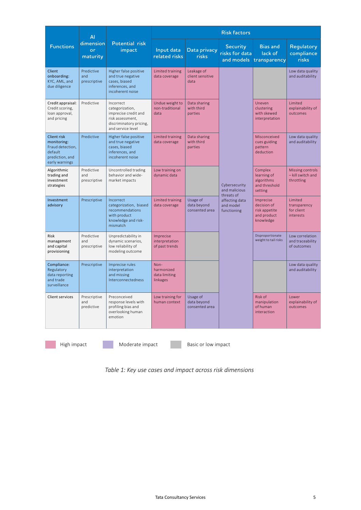| <b>Functions</b>                                                                                      | ΑI<br>dimension<br>or<br>maturity | Potential risk<br>impact                                                                                                 | <b>Risk factors</b>                             |                                           |                                                                                            |                                                                       |                                                     |
|-------------------------------------------------------------------------------------------------------|-----------------------------------|--------------------------------------------------------------------------------------------------------------------------|-------------------------------------------------|-------------------------------------------|--------------------------------------------------------------------------------------------|-----------------------------------------------------------------------|-----------------------------------------------------|
|                                                                                                       |                                   |                                                                                                                          | Input data<br>related risks                     | Data privacy<br><b>risks</b>              | <b>Security</b><br>risks for data                                                          | <b>Bias and</b><br>lack of<br>and models transparency                 | Regulatory<br>compliance<br>risks                   |
| Client<br>onboarding:<br>KYC, AML, and<br>due diligence                                               | Predictive<br>and<br>prescriptive | Higher false positive<br>and true negative<br>cases, biased<br>inferences, and<br>incoherent noise                       | Limited training<br>data coverage               | Leakage of<br>client sensitive<br>data    | Cybersecurity<br>and malicious<br>threats of<br>affecting data<br>and model<br>functioning |                                                                       | Low data quality<br>and auditability                |
| Credit appraisal:<br>Credit scoring,<br>loan approval,<br>and pricing                                 | Predictive                        | Incorrect<br>categorization,<br>imprecise credit and<br>risk assessment,<br>discriminatory pricing,<br>and service level | Undue weight to<br>non-traditional<br>data      | Data sharing<br>with third<br>parties     |                                                                                            | Uneven<br>clustering<br>with skewed<br>interpretation                 | <b>Limited</b><br>explainability of<br>outcomes     |
| <b>Client risk</b><br>monitoring:<br>Fraud detection,<br>default<br>prediction, and<br>early warnings | Predictive                        | Higher false positive<br>and true negative<br>cases, biased<br>inferences, and<br>incoherent noise                       | Limited training<br>data coverage               | Data sharing<br>with third<br>parties     |                                                                                            | Misconceived<br>cues guiding<br>pattern<br>deduction                  | Low data quality<br>and auditability                |
| Algorithmic<br>trading and<br>investment<br>strategies                                                | Predictive<br>and<br>prescriptive | Uncontrolled trading<br>behavior and wide-<br>market impacts                                                             | Low training on<br>dynamic data                 |                                           |                                                                                            | Complex<br>learning of<br>algorithms<br>and threshold<br>setting      | Missing controls<br>- kill switch and<br>throttling |
| Investment<br>advisory                                                                                | Prescriptive                      | Incorrect<br>categorization, biased<br>recommendations<br>with product<br>knowledge and risk-<br>mismatch                | Limited training<br>data coverage               | Usage of<br>data beyond<br>consented area |                                                                                            | Imprecise<br>decision of<br>risk appetite<br>and product<br>knowledge | Limited<br>transparency<br>for client<br>interests  |
| <b>Risk</b><br>management<br>and capital<br>provisioning                                              | Predictive<br>and<br>prescriptive | Unpredictability in<br>dynamic scenarios,<br>low reliability of<br>modeling outcome                                      | Imprecise<br>interpretation<br>of past trends   |                                           |                                                                                            | Disproportionate<br>weight to tail risks                              | Low correlation<br>and traceability<br>of outcomes  |
| Compliance:<br>Regulatory<br>data reporting<br>and trade<br>surveillance                              | Prescriptive                      | Imprecise rules<br>interpretation<br>and missing<br>Interconnectedness                                                   | Non-<br>harmonized<br>data limiting<br>linkages |                                           |                                                                                            |                                                                       | Low data quality<br>and auditability                |
| <b>Client services</b>                                                                                | Prescriptive<br>and<br>predictive | Preconceived<br>response levels with<br>profiling bias and<br>overlooking human<br>emotion                               | Low training for<br>human context               | Usage of<br>data beyond<br>consented area |                                                                                            | Risk of<br>manipulation<br>of human<br>interaction                    | Lower<br>explainability of<br>outcomes              |

High impact Moderate impact Basic or low impact

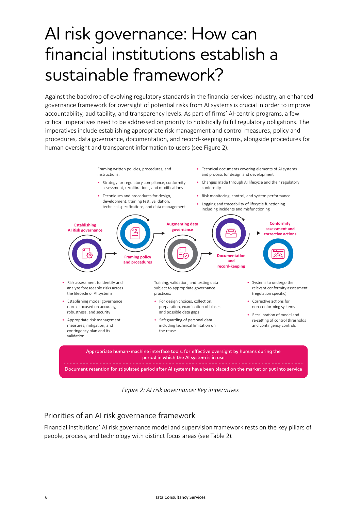### AI risk governance: How can financial institutions establish a sustainable framework?

Against the backdrop of evolving regulatory standards in the financial services industry, an enhanced governance framework for oversight of potential risks from AI systems is crucial in order to improve accountability, auditability, and transparency levels. As part of firms' AI-centric programs, a few critical imperatives need to be addressed on priority to holistically fulfill regulatory obligations. The imperatives include establishing appropriate risk management and control measures, policy and procedures, data governance, documentation, and record-keeping norms, alongside procedures for human oversight and transparent information to users (see Figure 2).

**Appropriate human-machine interface tools, for effective oversight by humans during the period in which the AI system is in use Document retention for stipulated period after AI systems have been placed on the market or put into service Establishing AI Risk governance Framing policy and procedures Augmenting data governance Documentation and record-keeping Conformity assessment and corrective actions**  • Risk assessment to identify and analyze foreseeable risks across the lifecycle of AI systems • Establishing model governance norms focused on accuracy, robustness, and security • Appropriate risk management measures, mitigation, and contingency plan and its validation Framing written policies, procedures, and instructions: • Strategy for regulatory compliance, conformity assessment, recalibrations, and modifications • Techniques and procedures for design. development, training test, validation, technical specifications, and data management Training, validation, and testing data subject to appropriate governance prac�ces: • For design choices, collection, preparation, examination of biases and possible data gaps • Safeguarding of personal data including technical limitation on the reuse • Technical documents covering elements of AI systems and process for design and development • Changes made through AI lifecycle and their regulatory conformity • Risk monitoring, control, and system performance • Logging and traceability of lifecycle functioning including incidents and misfunctioning • Systems to undergo the relevant conformity assessment (regulation specific) • Corrective actions for non-conforming systems • Recalibration of model and re-setting of control thresholds and contingency controls

*Figure 2: AI risk governance: Key imperatives*

#### Priorities of an AI risk governance framework

Financial institutions' AI risk governance model and supervision framework rests on the key pillars of people, process, and technology with distinct focus areas (see Table 2).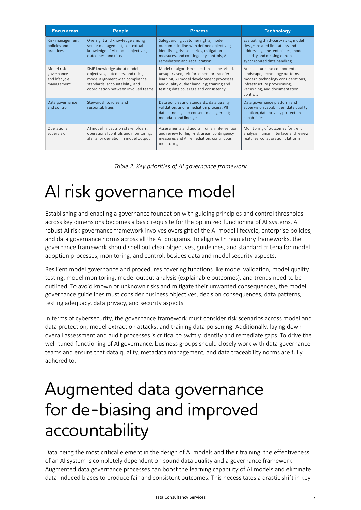| <b>Focus areas</b>                                      | People                                                                                                                                                                    | <b>Process</b>                                                                                                                                                                                                           | <b>Technology</b>                                                                                                                                                                |
|---------------------------------------------------------|---------------------------------------------------------------------------------------------------------------------------------------------------------------------------|--------------------------------------------------------------------------------------------------------------------------------------------------------------------------------------------------------------------------|----------------------------------------------------------------------------------------------------------------------------------------------------------------------------------|
| Risk management<br>policies and<br>practices            | Oversight and knowledge among<br>senior management, contextual<br>knowledge of AI model objectives,<br>outcomes, and risks                                                | Safeguarding customer rights; model<br>outcomes in-line with defined objectives;<br>identifying risk scenarios, mitigation<br>measures, and contingency controls, AI<br>remediation and recalibration                    | Evaluating third-party risks, model<br>design-related limitations and<br>addressing inherent biases, model<br>security and missing or non-<br>synchronized data handling         |
| Model risk<br>governance<br>and lifecycle<br>management | SME knowledge about model<br>objectives, outcomes, and risks,<br>model alignment with compliance<br>standards, accountability, and<br>coordination between involved teams | Model or algorithm selection - supervised,<br>unsupervised, reinforcement or transfer<br>learning; AI model development processes<br>and quality outlier handling; training and<br>testing data coverage and consistency | Architecture and components<br>landscape, technology patterns,<br>modern technology considerations,<br>infrastructure provisioning,<br>versioning, and documentation<br>controls |
| Data governance<br>and control                          | Stewardship, roles, and<br>responsibilities                                                                                                                               | Data policies and standards, data quality,<br>validation, and remediation process; PII<br>data handling and consent management;<br>metadata and lineage                                                                  | Data governance platform and<br>supervision capabilities, data quality<br>solution, data privacy protection<br>capabilities                                                      |
| Operational<br>supervision                              | AI model impacts on stakeholders,<br>operational controls and monitoring,<br>alerts for deviation in model output                                                         | Assessments and audits; human intervention<br>and review for high-risk areas; contingency<br>measures and AI remediation; continuous<br>monitoring                                                                       | Monitoring of outcomes for trend<br>analysis, human interface and review<br>features, collaboration platform                                                                     |

*Table 2: Key priorities of AI governance framework* 

### AI risk governance model

Establishing and enabling a governance foundation with guiding principles and control thresholds across key dimensions becomes a basic requisite for the optimized functioning of AI systems. A robust AI risk governance framework involves oversight of the AI model lifecycle, enterprise policies, and data governance norms across all the AI programs. To align with regulatory frameworks, the governance framework should spell out clear objectives, guidelines, and standard criteria for model adoption processes, monitoring, and control, besides data and model security aspects.

Resilient model governance and procedures covering functions like model validation, model quality testing, model monitoring, model output analysis (explainable outcomes), and trends need to be outlined. To avoid known or unknown risks and mitigate their unwanted consequences, the model governance guidelines must consider business objectives, decision consequences, data patterns, testing adequacy, data privacy, and security aspects.

In terms of cybersecurity, the governance framework must consider risk scenarios across model and data protection, model extraction attacks, and training data poisoning. Additionally, laying down overall assessment and audit processes is critical to swiftly identify and remediate gaps. To drive the well-tuned functioning of AI governance, business groups should closely work with data governance teams and ensure that data quality, metadata management, and data traceability norms are fully adhered to.

#### Augmented data governance for de-biasing and improved accountability

Data being the most critical element in the design of AI models and their training, the effectiveness of an AI system is completely dependent on sound data quality and a governance framework. Augmented data governance processes can boost the learning capability of AI models and eliminate data-induced biases to produce fair and consistent outcomes. This necessitates a drastic shift in key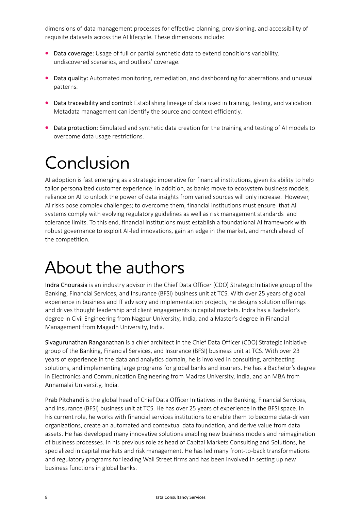dimensions of data management processes for effective planning, provisioning, and accessibility of requisite datasets across the AI lifecycle. These dimensions include:

- Data coverage: Usage of full or partial synthetic data to extend conditions variability, undiscovered scenarios, and outliers' coverage.
- Data quality: Automated monitoring, remediation, and dashboarding for aberrations and unusual patterns.
- Data traceability and control: Establishing lineage of data used in training, testing, and validation. Metadata management can identify the source and context efficiently.
- Data protection: Simulated and synthetic data creation for the training and testing of AI models to overcome data usage restrictions.

#### Conclusion

AI adoption is fast emerging as a strategic imperative for financial institutions, given its ability to help tailor personalized customer experience. In addition, as banks move to ecosystem business models, reliance on AI to unlock the power of data insights from varied sources will only increase. However, AI risks pose complex challenges; to overcome them, financial institutions must ensure that AI systems comply with evolving regulatory guidelines as well as risk management standards and tolerance limits. To this end, financial institutions must establish a foundational AI framework with robust governance to exploit AI-led innovations, gain an edge in the market, and march ahead of the competition.

#### About the authors

Indra Chourasia is an industry advisor in the Chief Data Officer (CDO) Strategic Initiative group of the Banking, Financial Services, and Insurance (BFSI) business unit at TCS. With over 25 years of global experience in business and IT advisory and implementation projects, he designs solution offerings and drives thought leadership and client engagements in capital markets. Indra has a Bachelor's degree in Civil Engineering from Nagpur University, India, and a Master's degree in Financial Management from Magadh University, India.

Sivagurunathan Ranganathan is a chief architect in the Chief Data Officer (CDO) Strategic Initiative group of the Banking, Financial Services, and Insurance (BFSI) business unit at TCS. With over 23 years of experience in the data and analytics domain, he is involved in consulting, architecting solutions, and implementing large programs for global banks and insurers. He has a Bachelor's degree in Electronics and Communication Engineering from Madras University, India, and an MBA from Annamalai University, India.

Prab Pitchandi is the global head of Chief Data Officer Initiatives in the Banking, Financial Services, and Insurance (BFSI) business unit at TCS. He has over 25 years of experience in the BFSI space. In his current role, he works with financial services institutions to enable them to become data-driven organizations, create an automated and contextual data foundation, and derive value from data assets. He has developed many innovative solutions enabling new business models and reimagination of business processes. In his previous role as head of Capital Markets Consulting and Solutions, he specialized in capital markets and risk management. He has led many front-to-back transformations and regulatory programs for leading Wall Street firms and has been involved in setting up new business functions in global banks.